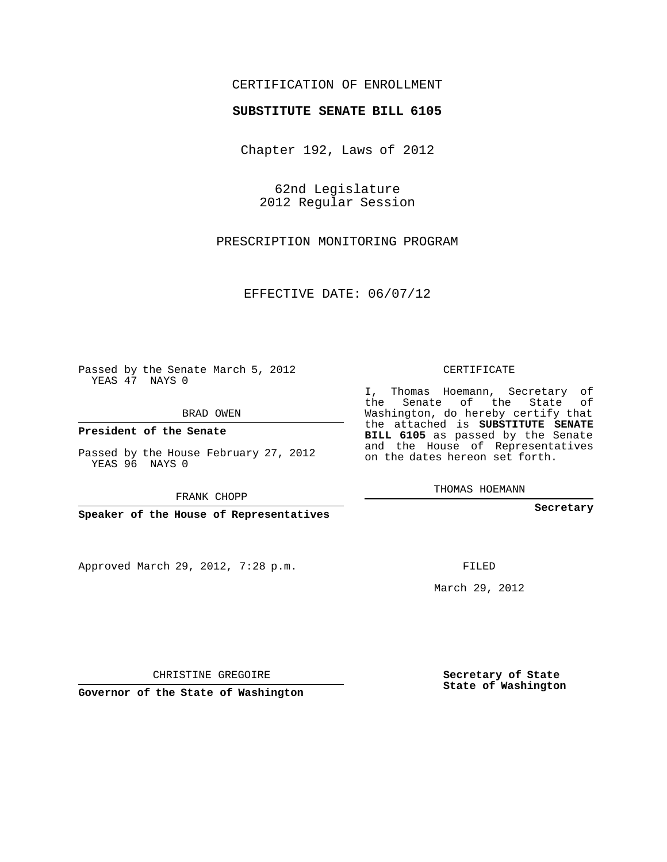## CERTIFICATION OF ENROLLMENT

## **SUBSTITUTE SENATE BILL 6105**

Chapter 192, Laws of 2012

62nd Legislature 2012 Regular Session

PRESCRIPTION MONITORING PROGRAM

EFFECTIVE DATE: 06/07/12

Passed by the Senate March 5, 2012 YEAS 47 NAYS 0

BRAD OWEN

**President of the Senate**

Passed by the House February 27, 2012 YEAS 96 NAYS 0

FRANK CHOPP

**Speaker of the House of Representatives**

Approved March 29, 2012, 7:28 p.m.

CERTIFICATE

I, Thomas Hoemann, Secretary of the Senate of the State of Washington, do hereby certify that the attached is **SUBSTITUTE SENATE BILL 6105** as passed by the Senate and the House of Representatives on the dates hereon set forth.

THOMAS HOEMANN

**Secretary**

FILED

March 29, 2012

**Secretary of State State of Washington**

CHRISTINE GREGOIRE

**Governor of the State of Washington**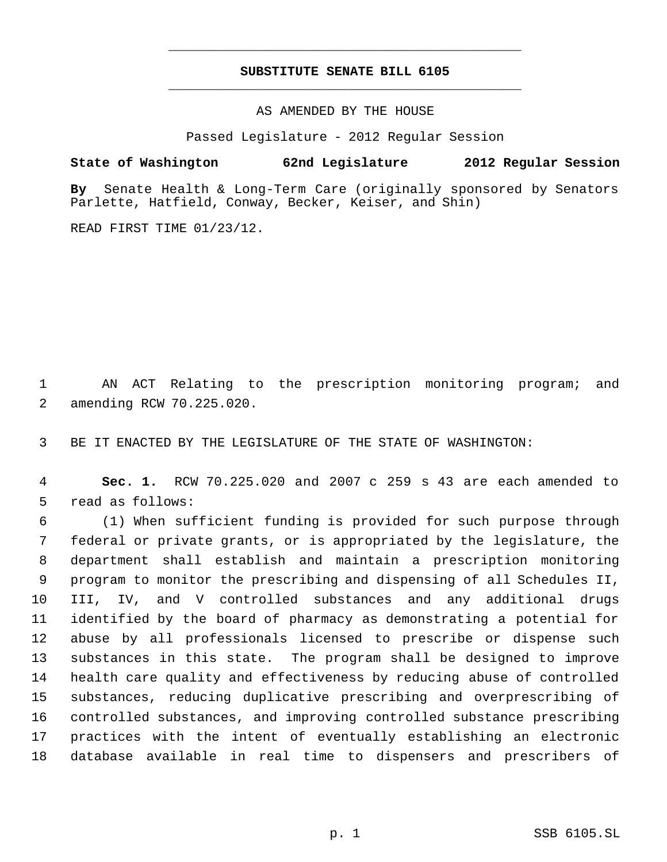## **SUBSTITUTE SENATE BILL 6105** \_\_\_\_\_\_\_\_\_\_\_\_\_\_\_\_\_\_\_\_\_\_\_\_\_\_\_\_\_\_\_\_\_\_\_\_\_\_\_\_\_\_\_\_\_

\_\_\_\_\_\_\_\_\_\_\_\_\_\_\_\_\_\_\_\_\_\_\_\_\_\_\_\_\_\_\_\_\_\_\_\_\_\_\_\_\_\_\_\_\_

AS AMENDED BY THE HOUSE

Passed Legislature - 2012 Regular Session

**State of Washington 62nd Legislature 2012 Regular Session**

**By** Senate Health & Long-Term Care (originally sponsored by Senators Parlette, Hatfield, Conway, Becker, Keiser, and Shin)

READ FIRST TIME 01/23/12.

 AN ACT Relating to the prescription monitoring program; and amending RCW 70.225.020.

BE IT ENACTED BY THE LEGISLATURE OF THE STATE OF WASHINGTON:

 **Sec. 1.** RCW 70.225.020 and 2007 c 259 s 43 are each amended to read as follows:

 (1) When sufficient funding is provided for such purpose through federal or private grants, or is appropriated by the legislature, the department shall establish and maintain a prescription monitoring program to monitor the prescribing and dispensing of all Schedules II, III, IV, and V controlled substances and any additional drugs identified by the board of pharmacy as demonstrating a potential for abuse by all professionals licensed to prescribe or dispense such substances in this state. The program shall be designed to improve health care quality and effectiveness by reducing abuse of controlled substances, reducing duplicative prescribing and overprescribing of controlled substances, and improving controlled substance prescribing practices with the intent of eventually establishing an electronic database available in real time to dispensers and prescribers of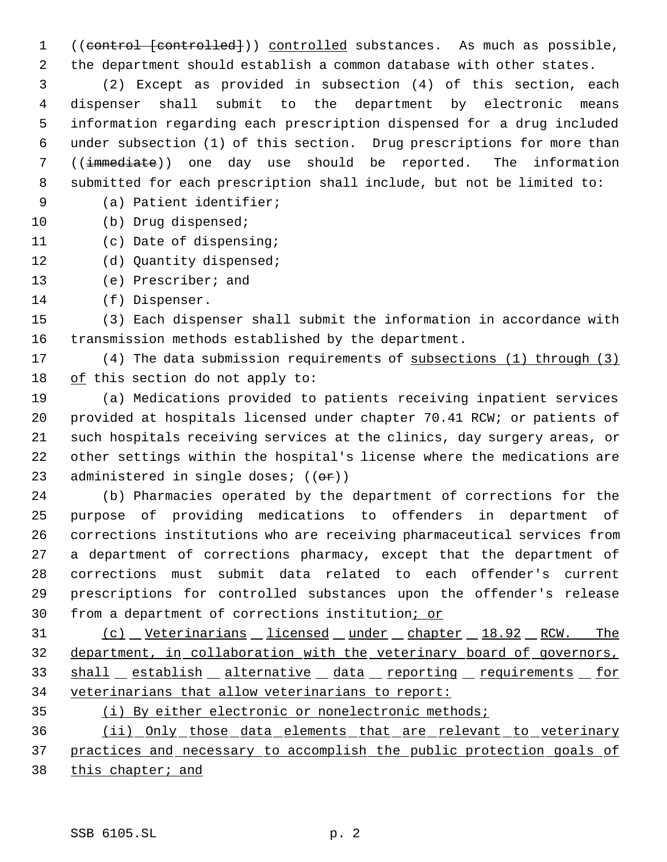1 ((control [controlled])) controlled substances. As much as possible, the department should establish a common database with other states.

 (2) Except as provided in subsection (4) of this section, each dispenser shall submit to the department by electronic means information regarding each prescription dispensed for a drug included under subsection (1) of this section. Drug prescriptions for more than ((immediate)) one day use should be reported. The information submitted for each prescription shall include, but not be limited to:

(a) Patient identifier;

- 10 (b) Drug dispensed;
- (c) Date of dispensing;
- (d) Quantity dispensed;
- (e) Prescriber; and
- (f) Dispenser.

 (3) Each dispenser shall submit the information in accordance with transmission methods established by the department.

 (4) The data submission requirements of subsections (1) through (3) of this section do not apply to:

 (a) Medications provided to patients receiving inpatient services provided at hospitals licensed under chapter 70.41 RCW; or patients of such hospitals receiving services at the clinics, day surgery areas, or other settings within the hospital's license where the medications are 23 administered in single doses;  $((\theta \cdot \hat{r}))$ 

 (b) Pharmacies operated by the department of corrections for the purpose of providing medications to offenders in department of corrections institutions who are receiving pharmaceutical services from a department of corrections pharmacy, except that the department of corrections must submit data related to each offender's current prescriptions for controlled substances upon the offender's release from a department of corrections institution; or

 (c) Veterinarians licensed under chapter 18.92 RCW. The department, in collaboration with the veterinary board of governors, 33 shall establish alternative data reporting requirements for veterinarians that allow veterinarians to report:

(i) By either electronic or nonelectronic methods;

 (ii) Only those data elements that are relevant to veterinary practices and necessary to accomplish the public protection goals of this chapter; and